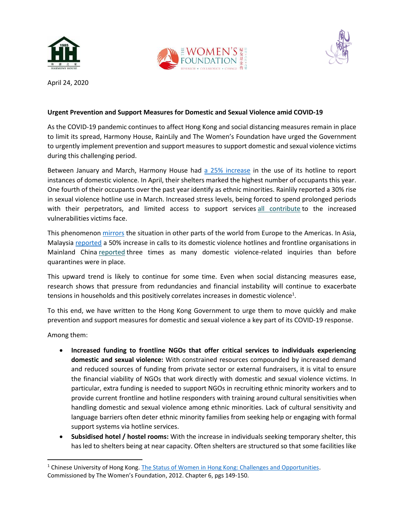





April 24, 2020

## **Urgent Prevention and Support Measures for Domestic and Sexual Violence amid COVID-19**

As the COVID-19 pandemic continues to affect Hong Kong and social distancing measures remain in place to limit its spread, Harmony House, RainLily and The Women's Foundation have urged the Government to urgently implement prevention and support measures to support domestic and sexual violence victims during this challenging period.

Between January and March, Harmony House had [a 25% increase](https://www.scmp.com/lifestyle/health-wellness/article/3079582/appease-defuse-enlist-friend-domestic-violence) in the use of its hotline to report instances of domestic violence. In April, their shelters marked the highest number of occupants this year. One fourth of their occupants over the past year identify as ethnic minorities. Rainlily reported a 30% rise in sexual violence hotline use in March. Increased stress levels, being forced to spend prolonged periods with their perpetrators, and limited access to support services [all contribute](https://www.who.int/reproductivehealth/publications/emergencies/COVID-19-VAW-full-text.pdf?ua=1) to the increased vulnerabilities victims face.

This phenomeno[n mirrors](https://www.theguardian.com/society/2020/mar/28/lockdowns-world-rise-domestic-violence) the situation in other parts of the world from Europe to the Americas. In Asia, Malaysia [reported](https://www.scmp.com/comment/opinion/article/3078352/coronavirus-quarantine-murders-and-domestic-violence-mean-malaysian) a 50% increase in calls to its domestic violence hotlines and frontline organisations in Mainland China [reported](https://www.bbc.com/news/world-asia-51705199) three times as many domestic violence-related inquiries than before quarantines were in place.

This upward trend is likely to continue for some time. Even when social distancing measures ease, research shows that pressure from redundancies and financial instability will continue to exacerbate tensions in households and this positively correlates increases in domestic violence<sup>1</sup>.

To this end, we have written to the Hong Kong Government to urge them to move quickly and make prevention and support measures for domestic and sexual violence a key part of its COVID-19 response.

Among them:

 $\overline{\phantom{a}}$ 

- **Increased funding to frontline NGOs that offer critical services to individuals experiencing domestic and sexual violence:** With constrained resources compounded by increased demand and reduced sources of funding from private sector or external fundraisers, it is vital to ensure the financial viability of NGOs that work directly with domestic and sexual violence victims. In particular, extra funding is needed to support NGOs in recruiting ethnic minority workers and to provide current frontline and hotline responders with training around cultural sensitivities when handling domestic and sexual violence among ethnic minorities. Lack of cultural sensitivity and language barriers often deter ethnic minority families from seeking help or engaging with formal support systems via hotline services.
- **Subsidised hotel / hostel rooms:** With the increase in individuals seeking temporary shelter, this has led to shelters being at near capacity. Often shelters are structured so that some facilities like

<sup>1</sup> Chinese University of Hong Kong[. The Status of Women in Hong Kong: Challenges and Opportunities.](https://twfhk.org/system/files/Women%20and%20Girls%20in%20Hong%20Kong%20Current%20Situations.pdf) Commissioned by The Women's Foundation, 2012. Chapter 6, pgs 149-150.